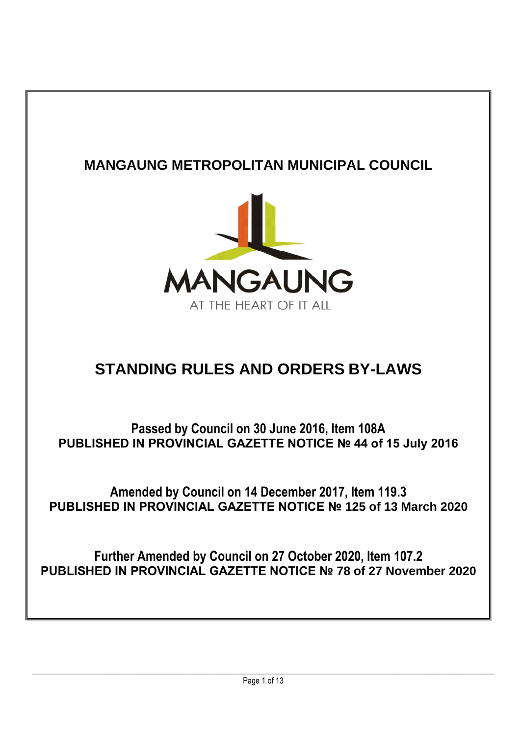## **MANGAUNG METROPOLITAN MUNICIPAL COUNCIL**



## **STANDING RULES AND ORDERS BY-LAWS**

**Passed by Council on 30 June 2016, Item 108A PUBLISHED IN PROVINCIAL GAZETTE NOTICE № 44 of 15 July 2016**

**Amended by Council on 14 December 2017, Item 119.3 PUBLISHED IN PROVINCIAL GAZETTE NOTICE № 125 of 13 March 2020**

**Further Amended by Council on 27 October 2020, Item 107.2 PUBLISHED IN PROVINCIAL GAZETTE NOTICE № 78 of 27 November 2020**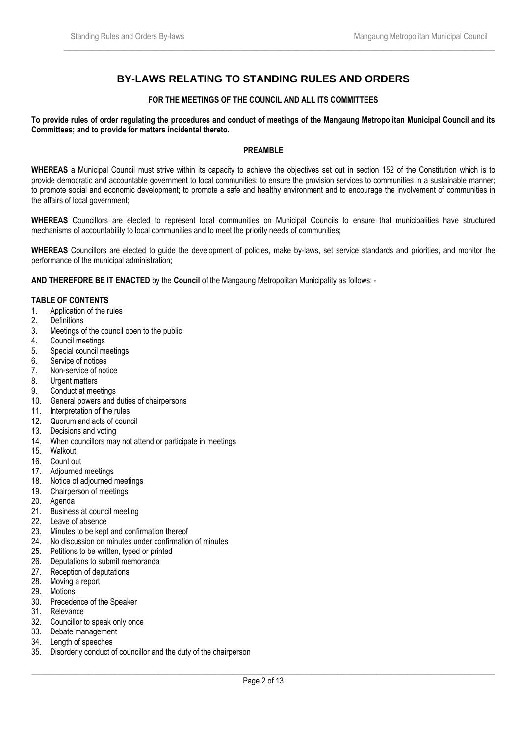## **BY-LAWS RELATING TO STANDING RULES AND ORDERS**

 $\_$  , and the set of the set of the set of the set of the set of the set of the set of the set of the set of the set of the set of the set of the set of the set of the set of the set of the set of the set of the set of th

## **FOR THE MEETINGS OF THE COUNCIL AND ALL ITS COMMITTEES**

**To provide rules of order regulating the procedures and conduct of meetings of the Mangaung Metropolitan Municipal Council and its Committees; and to provide for matters incidental thereto.**

## **PREAMBLE**

**WHEREAS** a Municipal Council must strive within its capacity to achieve the objectives set out in section 152 of the Constitution which is to provide democratic and accountable government to local communities; to ensure the provision services to communities in a sustainable manner; to promote social and economic development; to promote a safe and healthy environment and to encourage the involvement of communities in the affairs of local government;

**WHEREAS** Councillors are elected to represent local communities on Municipal Councils to ensure that municipalities have structured mechanisms of accountability to local communities and to meet the priority needs of communities;

**WHEREAS** Councillors are elected to guide the development of policies, make by-laws, set service standards and priorities, and monitor the performance of the municipal administration;

**AND THEREFORE BE IT ENACTED** by the **Council** of the Mangaung Metropolitan Municipality as follows: -

## **TABLE OF CONTENTS**

- 1. Application of the rules
- 2. Definitions
- 3. Meetings of the council open to the public
- 4. Council meetings
- 5. Special council meetings
- 6. Service of notices
- 7. Non-service of notice
- 8. Urgent matters
- 9. Conduct at meetings
- 10. General powers and duties of chairpersons
- 11. Interpretation of the rules
- 12. Quorum and acts of council
- 13. Decisions and voting
- 14. When councillors may not attend or participate in meetings
- 15. Walkout
- 16. Count out
- 17. Adjourned meetings
- 18. Notice of adjourned meetings
- 19. Chairperson of meetings
- 20. Agenda
- 21. Business at council meeting
- 22. Leave of absence
- 23. Minutes to be kept and confirmation thereof
- 24. No discussion on minutes under confirmation of minutes
- 25. Petitions to be written, typed or printed
- 26. Deputations to submit memoranda
- 27. Reception of deputations
- 28. Moving a report
- 29. Motions
- 30. Precedence of the Speaker
- 31. Relevance
- 32. Councillor to speak only once
- 33. Debate management
- 34. Length of speeches
- 35. Disorderly conduct of councillor and the duty of the chairperson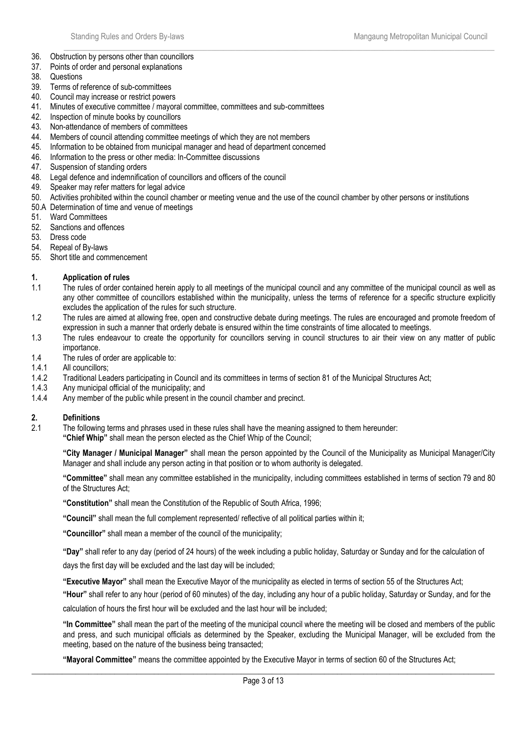- $\_$  , and the set of the set of the set of the set of the set of the set of the set of the set of the set of the set of the set of the set of the set of the set of the set of the set of the set of the set of the set of th 36. Obstruction by persons other than councillors
- 37. Points of order and personal explanations
- 38. Questions
- 39. Terms of reference of sub-committees
- 40. Council may increase or restrict powers
- 41. Minutes of executive committee / mayoral committee, committees and sub-committees
- 42. Inspection of minute books by councillors
- 43. Non-attendance of members of committees
- 44. Members of council attending committee meetings of which they are not members
- 45. Information to be obtained from municipal manager and head of department concerned
- 46. Information to the press or other media: In-Committee discussions
- 47. Suspension of standing orders
- 48. Legal defence and indemnification of councillors and officers of the council
- 49. Speaker may refer matters for legal advice
- 50. Activities prohibited within the council chamber or meeting venue and the use of the council chamber by other persons or institutions
- 50.A Determination of time and venue of meetings
- 51. Ward Committees
- 52. Sanctions and offences
- 53. Dress code
- 54. Repeal of By-laws
- 55. Short title and commencement

## **1. Application of rules**

- 1.1 The rules of order contained herein apply to all meetings of the municipal council and any committee of the municipal council as well as any other committee of councillors established within the municipality, unless the terms of reference for a specific structure explicitly excludes the application of the rules for such structure.
- 1.2 The rules are aimed at allowing free, open and constructive debate during meetings. The rules are encouraged and promote freedom of expression in such a manner that orderly debate is ensured within the time constraints of time allocated to meetings.
- 1.3 The rules endeavour to create the opportunity for councillors serving in council structures to air their view on any matter of public importance.
- 1.4 The rules of order are applicable to:
- 1.4.1 All councillors;
- 1.4.2 Traditional Leaders participating in Council and its committees in terms of section 81 of the Municipal Structures Act;
- 1.4.3 Any municipal official of the municipality; and
- 1.4.4 Any member of the public while present in the council chamber and precinct.

## **2. Definitions**

- 2.1 The following terms and phrases used in these rules shall have the meaning assigned to them hereunder:
	- **"Chief Whip"** shall mean the person elected as the Chief Whip of the Council;

**"City Manager / Municipal Manager"** shall mean the person appointed by the Council of the Municipality as Municipal Manager/City Manager and shall include any person acting in that position or to whom authority is delegated.

**"Committee"** shall mean any committee established in the municipality, including committees established in terms of section 79 and 80 of the Structures Act;

**"Constitution"** shall mean the Constitution of the Republic of South Africa, 1996;

**"Council"** shall mean the full complement represented/ reflective of all political parties within it;

**"Councillor"** shall mean a member of the council of the municipality;

**"Day"** shall refer to any day (period of 24 hours) of the week including a public holiday, Saturday or Sunday and for the calculation of days the first day will be excluded and the last day will be included;

**"Executive Mayor"** shall mean the Executive Mayor of the municipality as elected in terms of section 55 of the Structures Act;

**"Hour"** shall refer to any hour (period of 60 minutes) of the day, including any hour of a public holiday, Saturday or Sunday, and for the calculation of hours the first hour will be excluded and the last hour will be included;

**"In Committee"** shall mean the part of the meeting of the municipal council where the meeting will be closed and members of the public and press, and such municipal officials as determined by the Speaker, excluding the Municipal Manager, will be excluded from the meeting, based on the nature of the business being transacted;

**"Mayoral Committee"** means the committee appointed by the Executive Mayor in terms of section 60 of the Structures Act;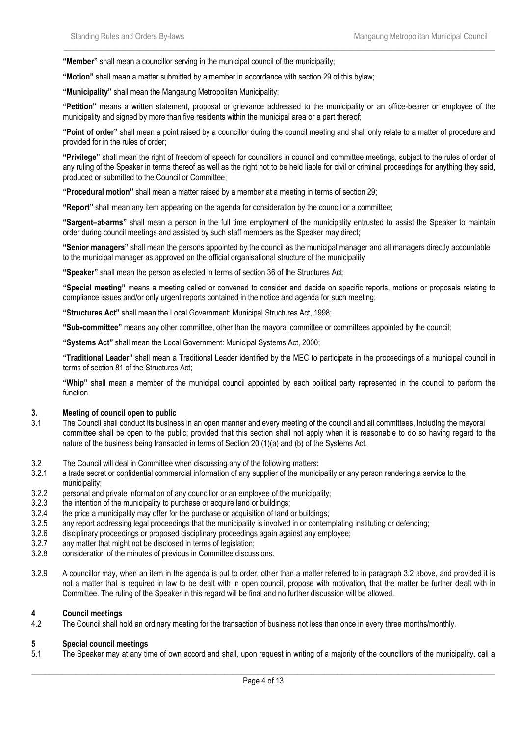**"Member"** shall mean a councillor serving in the municipal council of the municipality;

**"Motion"** shall mean a matter submitted by a member in accordance with section 29 of this bylaw;

**"Municipality"** shall mean the Mangaung Metropolitan Municipality;

**"Petition"** means a written statement, proposal or grievance addressed to the municipality or an office-bearer or employee of the municipality and signed by more than five residents within the municipal area or a part thereof;

 $\_$  , and the set of the set of the set of the set of the set of the set of the set of the set of the set of the set of the set of the set of the set of the set of the set of the set of the set of the set of the set of th

**"Point of order"** shall mean a point raised by a councillor during the council meeting and shall only relate to a matter of procedure and provided for in the rules of order;

**"Privilege"** shall mean the right of freedom of speech for councillors in council and committee meetings, subject to the rules of order of any ruling of the Speaker in terms thereof as well as the right not to be held liable for civil or criminal proceedings for anything they said, produced or submitted to the Council or Committee;

**"Procedural motion"** shall mean a matter raised by a member at a meeting in terms of section 29;

**"Report"** shall mean any item appearing on the agenda for consideration by the council or a committee;

**"Sargent–at-arms"** shall mean a person in the full time employment of the municipality entrusted to assist the Speaker to maintain order during council meetings and assisted by such staff members as the Speaker may direct;

**"Senior managers"** shall mean the persons appointed by the council as the municipal manager and all managers directly accountable to the municipal manager as approved on the official organisational structure of the municipality

**"Speaker"** shall mean the person as elected in terms of section 36 of the Structures Act;

**"Special meeting"** means a meeting called or convened to consider and decide on specific reports, motions or proposals relating to compliance issues and/or only urgent reports contained in the notice and agenda for such meeting;

**"Structures Act"** shall mean the Local Government: Municipal Structures Act, 1998;

**"Sub-committee"** means any other committee, other than the mayoral committee or committees appointed by the council;

**"Systems Act"** shall mean the Local Government: Municipal Systems Act, 2000;

**"Traditional Leader"** shall mean a Traditional Leader identified by the MEC to participate in the proceedings of a municipal council in terms of section 81 of the Structures Act;

**"Whip"** shall mean a member of the municipal council appointed by each political party represented in the council to perform the function

#### **3. Meeting of council open to public**

- 3.1 The Council shall conduct its business in an open manner and every meeting of the council and all committees, including the mayoral committee shall be open to the public; provided that this section shall not apply when it is reasonable to do so having regard to the nature of the business being transacted in terms of Section 20 (1)(a) and (b) of the Systems Act.
- 3.2 The Council will deal in Committee when discussing any of the following matters:
- 3.2.1 a trade secret or confidential commercial information of any supplier of the municipality or any person rendering a service to the municipality;
- 3.2.2 personal and private information of any councillor or an employee of the municipality;
- 3.2.3 the intention of the municipality to purchase or acquire land or buildings;
- 3.2.4 the price a municipality may offer for the purchase or acquisition of land or buildings:
- 3.2.5 any report addressing legal proceedings that the municipality is involved in or contemplating instituting or defending;
- 3.2.6 disciplinary proceedings or proposed disciplinary proceedings again against any employee;
- 3.2.7 any matter that might not be disclosed in terms of legislation;<br>3.2.8 consideration of the minutes of previous in Committee discus
- consideration of the minutes of previous in Committee discussions.
- 3.2.9 A councillor may, when an item in the agenda is put to order, other than a matter referred to in paragraph 3.2 above, and provided it is not a matter that is required in law to be dealt with in open council, propose with motivation, that the matter be further dealt with in Committee. The ruling of the Speaker in this regard will be final and no further discussion will be allowed.

#### **4 Council meetings**

4.2 The Council shall hold an ordinary meeting for the transaction of business not less than once in every three months/monthly.

#### **5 Special council meetings**

5.1 The Speaker may at any time of own accord and shall, upon request in writing of a majority of the councillors of the municipality, call a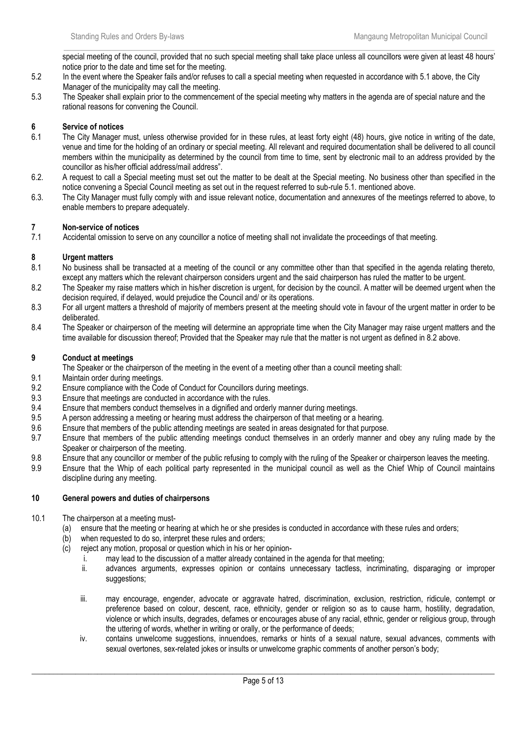$\_$  , and the set of the set of the set of the set of the set of the set of the set of the set of the set of the set of the set of the set of the set of the set of the set of the set of the set of the set of the set of th special meeting of the council, provided that no such special meeting shall take place unless all councillors were given at least 48 hours' notice prior to the date and time set for the meeting.

- 5.2 In the event where the Speaker fails and/or refuses to call a special meeting when requested in accordance with 5.1 above, the City Manager of the municipality may call the meeting.
- 5.3 The Speaker shall explain prior to the commencement of the special meeting why matters in the agenda are of special nature and the rational reasons for convening the Council.

## **6 Service of notices**

- 6.1 The City Manager must, unless otherwise provided for in these rules, at least forty eight (48) hours, give notice in writing of the date, venue and time for the holding of an ordinary or special meeting. All relevant and required documentation shall be delivered to all council members within the municipality as determined by the council from time to time, sent by electronic mail to an address provided by the councillor as his/her official address/mail address".
- 6.2. A request to call a Special meeting must set out the matter to be dealt at the Special meeting. No business other than specified in the notice convening a Special Council meeting as set out in the request referred to sub-rule 5.1. mentioned above.
- 6.3. The City Manager must fully comply with and issue relevant notice, documentation and annexures of the meetings referred to above, to enable members to prepare adequately.

## **7 Non-service of notices**

7.1 Accidental omission to serve on any councillor a notice of meeting shall not invalidate the proceedings of that meeting.

## **8 Urgent matters**

- 8.1 No business shall be transacted at a meeting of the council or any committee other than that specified in the agenda relating thereto, except any matters which the relevant chairperson considers urgent and the said chairperson has ruled the matter to be urgent.
- 8.2 The Speaker my raise matters which in his/her discretion is urgent, for decision by the council. A matter will be deemed urgent when the decision required, if delayed, would prejudice the Council and/ or its operations.
- 8.3 For all urgent matters a threshold of majority of members present at the meeting should vote in favour of the urgent matter in order to be deliberated.
- 8.4 The Speaker or chairperson of the meeting will determine an appropriate time when the City Manager may raise urgent matters and the time available for discussion thereof; Provided that the Speaker may rule that the matter is not urgent as defined in 8.2 above.

## **9 Conduct at meetings**

- The Speaker or the chairperson of the meeting in the event of a meeting other than a council meeting shall:
- 9.1 Maintain order during meetings.
- 9.2 Ensure compliance with the Code of Conduct for Councillors during meetings.
- 9.3 Ensure that meetings are conducted in accordance with the rules.
- 9.4 Ensure that members conduct themselves in a dignified and orderly manner during meetings.<br>9.5 A person addressing a meeting or hearing must address the chairperson of that meeting or a
- A person addressing a meeting or hearing must address the chairperson of that meeting or a hearing.
- 9.6 Ensure that members of the public attending meetings are seated in areas designated for that purpose.
- 9.7 Ensure that members of the public attending meetings conduct themselves in an orderly manner and obey any ruling made by the Speaker or chairperson of the meeting.
- 9.8 Ensure that any councillor or member of the public refusing to comply with the ruling of the Speaker or chairperson leaves the meeting.
- 9.9 Ensure that the Whip of each political party represented in the municipal council as well as the Chief Whip of Council maintains discipline during any meeting.

## **10 General powers and duties of chairpersons**

- 10.1 The chairperson at a meeting must-
	- (a) ensure that the meeting or hearing at which he or she presides is conducted in accordance with these rules and orders;
	- (b) when requested to do so, interpret these rules and orders;
	- (c) reject any motion, proposal or question which in his or her opinion
		- i. may lead to the discussion of a matter already contained in the agenda for that meeting;
		- ii. advances arguments, expresses opinion or contains unnecessary tactless, incriminating, disparaging or improper suggestions;
		- iii. may encourage, engender, advocate or aggravate hatred, discrimination, exclusion, restriction, ridicule, contempt or preference based on colour, descent, race, ethnicity, gender or religion so as to cause harm, hostility, degradation, violence or which insults, degrades, defames or encourages abuse of any racial, ethnic, gender or religious group, through the uttering of words, whether in writing or orally, or the performance of deeds;
		- iv. contains unwelcome suggestions, innuendoes, remarks or hints of a sexual nature, sexual advances, comments with sexual overtones, sex-related jokes or insults or unwelcome graphic comments of another person's body;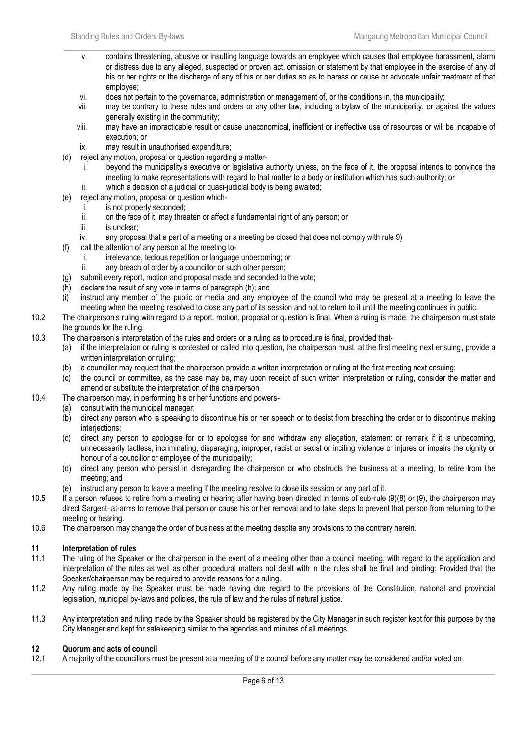v. contains threatening, abusive or insulting language towards an employee which causes that employee harassment, alarm or distress due to any alleged, suspected or proven act, omission or statement by that employee in the exercise of any of his or her rights or the discharge of any of his or her duties so as to harass or cause or advocate unfair treatment of that employee;

 $\_$  , and the set of the set of the set of the set of the set of the set of the set of the set of the set of the set of the set of the set of the set of the set of the set of the set of the set of the set of the set of th

- vi. does not pertain to the governance, administration or management of, or the conditions in, the municipality;
- vii. may be contrary to these rules and orders or any other law, including a bylaw of the municipality, or against the values generally existing in the community;
- viii. may have an impracticable result or cause uneconomical, inefficient or ineffective use of resources or will be incapable of execution; or
- ix. may result in unauthorised expenditure;
- (d) reject any motion, proposal or question regarding a matter
	- i. beyond the municipality's executive or legislative authority unless, on the face of it, the proposal intends to convince the meeting to make representations with regard to that matter to a body or institution which has such authority; or ii. which a decision of a judicial or quasi-judicial body is being awaited;
- (e) reject any motion, proposal or question which
	- i. is not properly seconded;
		- ii. on the face of it, may threaten or affect a fundamental right of any person; or
	- iii. is unclear:
	- iv. any proposal that a part of a meeting or a meeting be closed that does not comply with rule 9)
- (f) call the attention of any person at the meeting to
	- i. irrelevance, tedious repetition or language unbecoming; or
	- ii. any breach of order by a councillor or such other person;
- (g) submit every report, motion and proposal made and seconded to the vote;
- (h) declare the result of any vote in terms of paragraph (h); and
- (i) instruct any member of the public or media and any employee of the council who may be present at a meeting to leave the meeting when the meeting resolved to close any part of its session and not to return to it until the meeting continues in public.
- 10.2 The chairperson's ruling with regard to a report, motion, proposal or question is final. When a ruling is made, the chairperson must state the grounds for the ruling.
- 10.3 The chairperson's interpretation of the rules and orders or a ruling as to procedure is final, provided that-
	- (a) if the interpretation or ruling is contested or called into question, the chairperson must, at the first meeting next ensuing, provide a written interpretation or ruling;
	- (b) a councillor may request that the chairperson provide a written interpretation or ruling at the first meeting next ensuing;
	- (c) the council or committee, as the case may be, may upon receipt of such written interpretation or ruling, consider the matter and amend or substitute the interpretation of the chairperson.
- 10.4 The chairperson may, in performing his or her functions and powers-
	- (a) consult with the municipal manager;
	- (b) direct any person who is speaking to discontinue his or her speech or to desist from breaching the order or to discontinue making interiections:
	- (c) direct any person to apologise for or to apologise for and withdraw any allegation, statement or remark if it is unbecoming, unnecessarily tactless, incriminating, disparaging, improper, racist or sexist or inciting violence or injures or impairs the dignity or honour of a councillor or employee of the municipality;
	- (d) direct any person who persist in disregarding the chairperson or who obstructs the business at a meeting, to retire from the meeting; and
	- (e) instruct any person to leave a meeting if the meeting resolve to close its session or any part of it.
- 10.5 If a person refuses to retire from a meeting or hearing after having been directed in terms of sub-rule (9)(8) or (9), the chairperson may direct Sargent–at-arms to remove that person or cause his or her removal and to take steps to prevent that person from returning to the meeting or hearing.
- 10.6 The chairperson may change the order of business at the meeting despite any provisions to the contrary herein.

## **11 Interpretation of rules**

- 11.1 The ruling of the Speaker or the chairperson in the event of a meeting other than a council meeting, with regard to the application and interpretation of the rules as well as other procedural matters not dealt with in the rules shall be final and binding: Provided that the Speaker/chairperson may be required to provide reasons for a ruling.
- 11.2 Any ruling made by the Speaker must be made having due regard to the provisions of the Constitution, national and provincial legislation, municipal by-laws and policies, the rule of law and the rules of natural justice.
- 11.3 Any interpretation and ruling made by the Speaker should be registered by the City Manager in such register kept for this purpose by the City Manager and kept for safekeeping similar to the agendas and minutes of all meetings.

## **12 Quorum and acts of council**

12.1 A majority of the councillors must be present at a meeting of the council before any matter may be considered and/or voted on.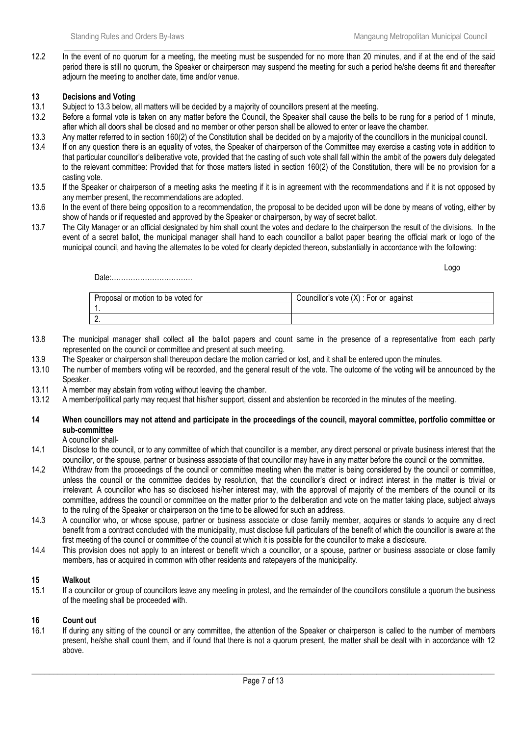$\_$  , and the set of the set of the set of the set of the set of the set of the set of the set of the set of the set of the set of the set of the set of the set of the set of the set of the set of the set of the set of th 12.2 In the event of no quorum for a meeting, the meeting must be suspended for no more than 20 minutes, and if at the end of the said period there is still no quorum, the Speaker or chairperson may suspend the meeting for such a period he/she deems fit and thereafter adjourn the meeting to another date, time and/or venue.

## **13 Decisions and Voting**

- 13.1 Subject to 13.3 below, all matters will be decided by a majority of councillors present at the meeting.
- 13.2 Before a formal vote is taken on any matter before the Council, the Speaker shall cause the bells to be rung for a period of 1 minute, after which all doors shall be closed and no member or other person shall be allowed to enter or leave the chamber.
- 13.3 Any matter referred to in section 160(2) of the Constitution shall be decided on by a majority of the councillors in the municipal council.
- 13.4 If on any question there is an equality of votes, the Speaker of chairperson of the Committee may exercise a casting vote in addition to that particular councillor's deliberative vote, provided that the casting of such vote shall fall within the ambit of the powers duly delegated to the relevant committee: Provided that for those matters listed in section 160(2) of the Constitution, there will be no provision for a casting vote.
- 13.5 If the Speaker or chairperson of a meeting asks the meeting if it is in agreement with the recommendations and if it is not opposed by any member present, the recommendations are adopted.
- 13.6 In the event of there being opposition to a recommendation, the proposal to be decided upon will be done by means of voting, either by show of hands or if requested and approved by the Speaker or chairperson, by way of secret ballot.
- 13.7 The City Manager or an official designated by him shall count the votes and declare to the chairperson the result of the divisions. In the event of a secret ballot, the municipal manager shall hand to each councillor a ballot paper bearing the official mark or logo of the municipal council, and having the alternates to be voted for clearly depicted thereon, substantially in accordance with the following:

Logo

Date:…………………………….

| Proposal or motion to be voted for | Councillor's vote (X) : For or<br>against |
|------------------------------------|-------------------------------------------|
| . .                                |                                           |
| c<br><u>.</u>                      |                                           |

- 13.8 The municipal manager shall collect all the ballot papers and count same in the presence of a representative from each party represented on the council or committee and present at such meeting.
- 13.9 The Speaker or chairperson shall thereupon declare the motion carried or lost, and it shall be entered upon the minutes.
- 13.10 The number of members voting will be recorded, and the general result of the vote. The outcome of the voting will be announced by the Speaker.
- 13.11 A member may abstain from voting without leaving the chamber.
- 13.12 A member/political party may request that his/her support, dissent and abstention be recorded in the minutes of the meeting.

## **14 When councillors may not attend and participate in the proceedings of the council, mayoral committee, portfolio committee or sub-committee**

A councillor shall-

- 14.1 Disclose to the council, or to any committee of which that councillor is a member, any direct personal or private business interest that the councillor, or the spouse, partner or business associate of that councillor may have in any matter before the council or the committee.
- 14.2 Withdraw from the proceedings of the council or committee meeting when the matter is being considered by the council or committee, unless the council or the committee decides by resolution, that the councillor's direct or indirect interest in the matter is trivial or irrelevant. A councillor who has so disclosed his/her interest may, with the approval of majority of the members of the council or its committee, address the council or committee on the matter prior to the deliberation and vote on the matter taking place, subject always to the ruling of the Speaker or chairperson on the time to be allowed for such an address.
- 14.3 A councillor who, or whose spouse, partner or business associate or close family member, acquires or stands to acquire any direct benefit from a contract concluded with the municipality, must disclose full particulars of the benefit of which the councillor is aware at the first meeting of the council or committee of the council at which it is possible for the councillor to make a disclosure.
- 14.4 This provision does not apply to an interest or benefit which a councillor, or a spouse, partner or business associate or close family members, has or acquired in common with other residents and ratepayers of the municipality.

## **15 Walkout**

15.1 If a councillor or group of councillors leave any meeting in protest, and the remainder of the councillors constitute a quorum the business of the meeting shall be proceeded with.

## **16 Count out**

16.1 If during any sitting of the council or any committee, the attention of the Speaker or chairperson is called to the number of members present, he/she shall count them, and if found that there is not a quorum present, the matter shall be dealt with in accordance with 12 above.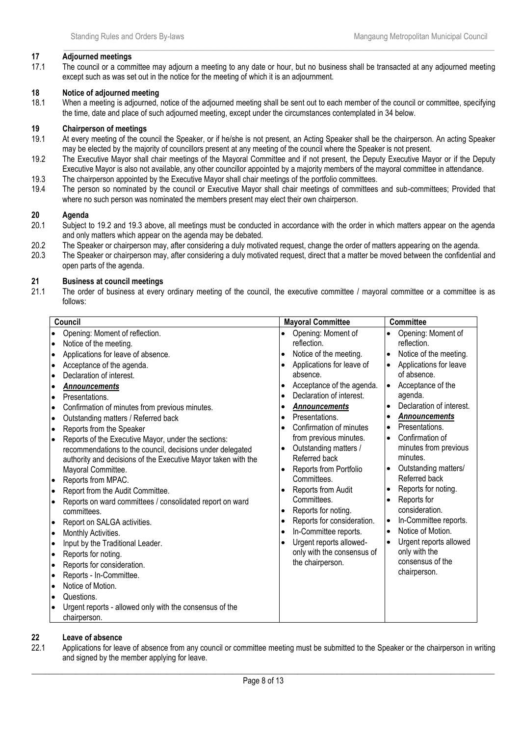## **17 Adjourned meetings**

17.1 The council or a committee may adjourn a meeting to any date or hour, but no business shall be transacted at any adjourned meeting except such as was set out in the notice for the meeting of which it is an adjournment.

 $\_$  , and the set of the set of the set of the set of the set of the set of the set of the set of the set of the set of the set of the set of the set of the set of the set of the set of the set of the set of the set of th

## **18 Notice of adjourned meeting**

18.1 When a meeting is adjourned, notice of the adjourned meeting shall be sent out to each member of the council or committee, specifying the time, date and place of such adjourned meeting, except under the circumstances contemplated in 34 below.

# **19 Chairperson of meetings**

- 19.1 At every meeting of the council the Speaker, or if he/she is not present, an Acting Speaker shall be the chairperson. An acting Speaker may be elected by the majority of councillors present at any meeting of the council where the Speaker is not present.
- 19.2 The Executive Mayor shall chair meetings of the Mayoral Committee and if not present, the Deputy Executive Mayor or if the Deputy Executive Mayor is also not available, any other councillor appointed by a majority members of the mayoral committee in attendance.
- 19.3 The chairperson appointed by the Executive Mayor shall chair meetings of the portfolio committees.
- 19.4 The person so nominated by the council or Executive Mayor shall chair meetings of committees and sub-committees; Provided that where no such person was nominated the members present may elect their own chairperson.

## **20 Agenda**

- Subject to 19.2 and 19.3 above, all meetings must be conducted in accordance with the order in which matters appear on the agenda and only matters which appear on the agenda may be debated.
- 20.2 The Speaker or chairperson may, after considering a duly motivated request, change the order of matters appearing on the agenda.
- 20.3 The Speaker or chairperson may, after considering a duly motivated request, direct that a matter be moved between the confidential and open parts of the agenda.

## **21 Business at council meetings**

21.1 The order of business at every ordinary meeting of the council, the executive committee / mayoral committee or a committee is as follows:

| Council                                                                                                                                                                                                                                                                                                                                                                                                                                                                                                                                                                                                                                                                                                                                                                                                                                                                                                                                                                                                                                                                                                                                                                                                                                                      | <b>Mayoral Committee</b>                                                                                                                                                                                                                                                                                                                                                                                                                                                                                                                                                                                                                                                          | <b>Committee</b>                                                                                                                                                                                                                                                                                                                                                                                                                                                                                                                                                                                                                                                                       |
|--------------------------------------------------------------------------------------------------------------------------------------------------------------------------------------------------------------------------------------------------------------------------------------------------------------------------------------------------------------------------------------------------------------------------------------------------------------------------------------------------------------------------------------------------------------------------------------------------------------------------------------------------------------------------------------------------------------------------------------------------------------------------------------------------------------------------------------------------------------------------------------------------------------------------------------------------------------------------------------------------------------------------------------------------------------------------------------------------------------------------------------------------------------------------------------------------------------------------------------------------------------|-----------------------------------------------------------------------------------------------------------------------------------------------------------------------------------------------------------------------------------------------------------------------------------------------------------------------------------------------------------------------------------------------------------------------------------------------------------------------------------------------------------------------------------------------------------------------------------------------------------------------------------------------------------------------------------|----------------------------------------------------------------------------------------------------------------------------------------------------------------------------------------------------------------------------------------------------------------------------------------------------------------------------------------------------------------------------------------------------------------------------------------------------------------------------------------------------------------------------------------------------------------------------------------------------------------------------------------------------------------------------------------|
| Opening: Moment of reflection.<br>$\bullet$<br>Notice of the meeting.<br>$\bullet$<br>Applications for leave of absence.<br>$\bullet$<br>Acceptance of the agenda.<br>$\bullet$<br>Declaration of interest.<br>$\bullet$<br><b>Announcements</b><br>$\bullet$<br>Presentations.<br>$\bullet$<br>Confirmation of minutes from previous minutes.<br>$\bullet$<br>Outstanding matters / Referred back<br>$\bullet$<br>Reports from the Speaker<br>$\bullet$<br>Reports of the Executive Mayor, under the sections:<br>$\bullet$<br>recommendations to the council, decisions under delegated<br>authority and decisions of the Executive Mayor taken with the<br>Mayoral Committee.<br>Reports from MPAC.<br>$\bullet$<br>Report from the Audit Committee.<br>$\bullet$<br>Reports on ward committees / consolidated report on ward<br>$\bullet$<br>committees.<br>Report on SALGA activities.<br>$\bullet$<br>Monthly Activities.<br>$\bullet$<br>Input by the Traditional Leader.<br>$\bullet$<br>Reports for noting.<br>$\bullet$<br>Reports for consideration.<br>$\bullet$<br>Reports - In-Committee.<br>$\bullet$<br>Notice of Motion.<br>$\bullet$<br>Questions.<br>$\bullet$<br>Urgent reports - allowed only with the consensus of the<br>chairperson. | Opening: Moment of<br>$\bullet$<br>reflection.<br>Notice of the meeting.<br>$\bullet$<br>Applications for leave of<br>absence.<br>Acceptance of the agenda.<br>Declaration of interest.<br>$\bullet$<br><b>Announcements</b><br>Presentations.<br>$\bullet$<br>Confirmation of minutes<br>$\bullet$<br>from previous minutes.<br>Outstanding matters /<br>$\bullet$<br>Referred back<br>Reports from Portfolio<br>$\bullet$<br>Committees.<br>Reports from Audit<br>Committees.<br>Reports for noting.<br>$\bullet$<br>Reports for consideration.<br>$\bullet$<br>In-Committee reports.<br>$\bullet$<br>Urgent reports allowed-<br>only with the consensus of<br>the chairperson. | Opening: Moment of<br>$\bullet$<br>reflection.<br>Notice of the meeting.<br>$\bullet$<br>Applications for leave<br>$\bullet$<br>of absence.<br>Acceptance of the<br>$\bullet$<br>agenda.<br>Declaration of interest.<br>$\bullet$<br><b>Announcements</b><br>$\bullet$<br>Presentations.<br>$\bullet$<br>Confirmation of<br>$\bullet$<br>minutes from previous<br>minutes.<br>Outstanding matters/<br>$\bullet$<br>Referred back<br>Reports for noting.<br>$\bullet$<br>Reports for<br>$\bullet$<br>consideration.<br>In-Committee reports.<br>$\bullet$<br>Notice of Motion.<br>$\bullet$<br>Urgent reports allowed<br>$\bullet$<br>only with the<br>consensus of the<br>chairperson. |

## **22 Leave of absence**

22.1 Applications for leave of absence from any council or committee meeting must be submitted to the Speaker or the chairperson in writing and signed by the member applying for leave.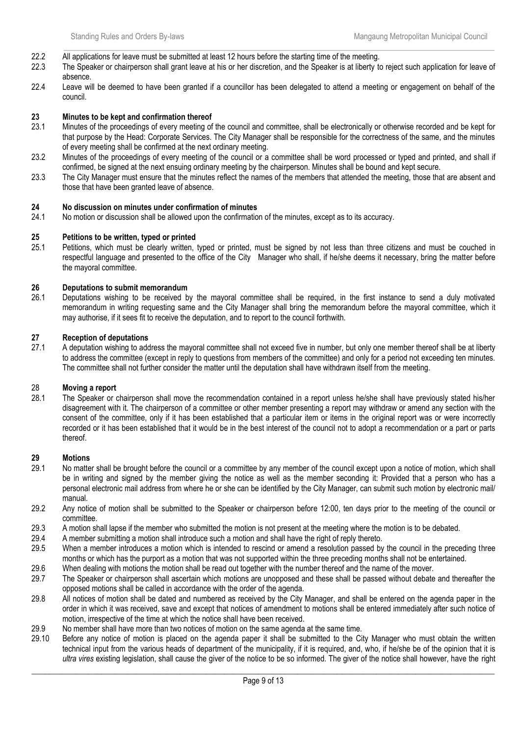- 22.2 All applications for leave must be submitted at least 12 hours before the starting time of the meeting.
- 22.3 The Speaker or chairperson shall grant leave at his or her discretion, and the Speaker is at liberty to reject such application for leave of absence.

 $\_$  , and the set of the set of the set of the set of the set of the set of the set of the set of the set of the set of the set of the set of the set of the set of the set of the set of the set of the set of the set of th

22.4 Leave will be deemed to have been granted if a councillor has been delegated to attend a meeting or engagement on behalf of the council.

#### **23 Minutes to be kept and confirmation thereof**

- 23.1 Minutes of the proceedings of every meeting of the council and committee, shall be electronically or otherwise recorded and be kept for that purpose by the Head: Corporate Services. The City Manager shall be responsible for the correctness of the same, and the minutes of every meeting shall be confirmed at the next ordinary meeting.
- 23.2 Minutes of the proceedings of every meeting of the council or a committee shall be word processed or typed and printed, and shall if confirmed, be signed at the next ensuing ordinary meeting by the chairperson. Minutes shall be bound and kept secure.
- 23.3 The City Manager must ensure that the minutes reflect the names of the members that attended the meeting, those that are absent and those that have been granted leave of absence.

## **24 No discussion on minutes under confirmation of minutes**

No motion or discussion shall be allowed upon the confirmation of the minutes, except as to its accuracy.

#### **25 Petitions to be written, typed or printed**

25.1 Petitions, which must be clearly written, typed or printed, must be signed by not less than three citizens and must be couched in respectful language and presented to the office of the City Manager who shall, if he/she deems it necessary, bring the matter before the mayoral committee.

## **26 Deputations to submit memorandum**

26.1 Deputations wishing to be received by the mayoral committee shall be required, in the first instance to send a duly motivated memorandum in writing requesting same and the City Manager shall bring the memorandum before the mayoral committee, which it may authorise, if it sees fit to receive the deputation, and to report to the council forthwith.

#### **27 Reception of deputations**

27.1 A deputation wishing to address the mayoral committee shall not exceed five in number, but only one member thereof shall be at liberty to address the committee (except in reply to questions from members of the committee) and only for a period not exceeding ten minutes. The committee shall not further consider the matter until the deputation shall have withdrawn itself from the meeting.

## 28 **Moving a report**

28.1 The Speaker or chairperson shall move the recommendation contained in a report unless he/she shall have previously stated his/her disagreement with it. The chairperson of a committee or other member presenting a report may withdraw or amend any section with the consent of the committee, only if it has been established that a particular item or items in the original report was or were incorrectly recorded or it has been established that it would be in the best interest of the council not to adopt a recommendation or a part or parts thereof.

#### **29 Motions**

- 29.1 No matter shall be brought before the council or a committee by any member of the council except upon a notice of motion, which shall be in writing and signed by the member giving the notice as well as the member seconding it: Provided that a person who has a personal electronic mail address from where he or she can be identified by the City Manager, can submit such motion by electronic mail/ manual.
- 29.2 Any notice of motion shall be submitted to the Speaker or chairperson before 12:00, ten days prior to the meeting of the council or committee.
- 29.3 A motion shall lapse if the member who submitted the motion is not present at the meeting where the motion is to be debated.
- 29.4 A member submitting a motion shall introduce such a motion and shall have the right of reply thereto.
- 29.5 When a member introduces a motion which is intended to rescind or amend a resolution passed by the council in the preceding three months or which has the purport as a motion that was not supported within the three preceding months shall not be entertained.
- 29.6 When dealing with motions the motion shall be read out together with the number thereof and the name of the mover.
- 29.7 The Speaker or chairperson shall ascertain which motions are unopposed and these shall be passed without debate and thereafter the opposed motions shall be called in accordance with the order of the agenda.
- 29.8 All notices of motion shall be dated and numbered as received by the City Manager, and shall be entered on the agenda paper in the order in which it was received, save and except that notices of amendment to motions shall be entered immediately after such notice of motion, irrespective of the time at which the notice shall have been received.
- 29.9 No member shall have more than two notices of motion on the same agenda at the same time.
- 29.10 Before any notice of motion is placed on the agenda paper it shall be submitted to the City Manager who must obtain the written technical input from the various heads of department of the municipality, if it is required, and, who, if he/she be of the opinion that it is *ultra vires* existing legislation, shall cause the giver of the notice to be so informed. The giver of the notice shall however, have the right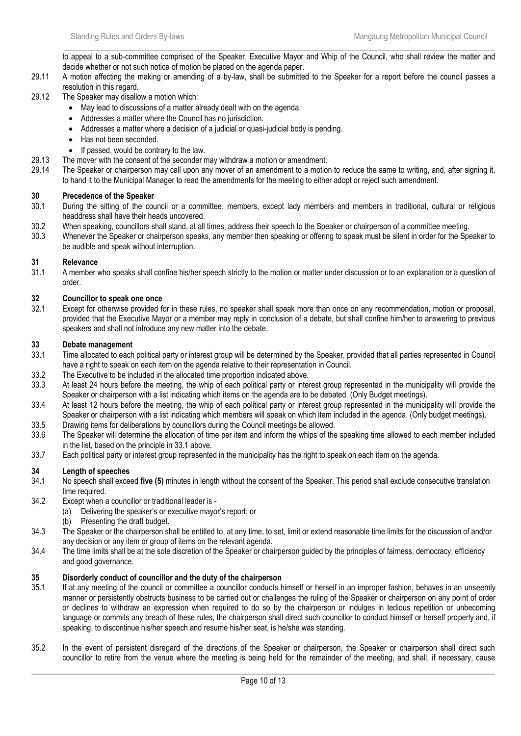$\_$  , and the set of the set of the set of the set of the set of the set of the set of the set of the set of the set of the set of the set of the set of the set of the set of the set of the set of the set of the set of th to appeal to a sub-committee comprised of the Speaker, Executive Mayor and Whip of the Council, who shall review the matter and decide whether or not such notice of motion be placed on the agenda paper.

- 29.11 A motion affecting the making or amending of a by-law, shall be submitted to the Speaker for a report before the council passes a resolution in this regard.
- 29.12 The Speaker may disallow a motion which:
	- May lead to discussions of a matter already dealt with on the agenda.
	- Addresses a matter where the Council has no jurisdiction.
	- Addresses a matter where a decision of a judicial or quasi-judicial body is pending.
	- Has not been seconded.
	- If passed, would be contrary to the law.
- 29.13 The mover with the consent of the seconder may withdraw a motion or amendment.
- 29.14 The Speaker or chairperson may call upon any mover of an amendment to a motion to reduce the same to writing, and, after signing it, to hand it to the Municipal Manager to read the amendments for the meeting to either adopt or reject such amendment.

## **30 Precedence of the Speaker**

- 30.1 During the sitting of the council or a committee, members, except lady members and members in traditional, cultural or religious headdress shall have their heads uncovered.
- 30.2 When speaking, councillors shall stand, at all times, address their speech to the Speaker or chairperson of a committee meeting.
- 30.3 Whenever the Speaker or chairperson speaks, any member then speaking or offering to speak must be silent in order for the Speaker to be audible and speak without interruption.

## **31 Relevance**

31.1 A member who speaks shall confine his/her speech strictly to the motion or matter under discussion or to an explanation or a question of order.

## **32 Councillor to speak one once**

32.1 Except for otherwise provided for in these rules, no speaker shall speak more than once on any recommendation, motion or proposal, provided that the Executive Mayor or a member may reply in conclusion of a debate, but shall confine him/her to answering to previous speakers and shall not introduce any new matter into the debate.

## **33 Debate management**

- 33.1 Time allocated to each political party or interest group will be determined by the Speaker, provided that all parties represented in Council have a right to speak on each item on the agenda relative to their representation in Council.
- 33.2 The Executive to be included in the allocated time proportion indicated above.
- 33.3 At least 24 hours before the meeting, the whip of each political party or interest group represented in the municipality will provide the Speaker or chairperson with a list indicating which items on the agenda are to be debated. (Only Budget meetings).
- 33.4 At least 12 hours before the meeting, the whip of each political party or interest group represented in the municipality will provide the Speaker or chairperson with a list indicating which members will speak on which item included in the agenda. (Only budget meetings).
- 33.5 Drawing items for deliberations by councillors during the Council meetings be allowed.
- 33.6 The Speaker will determine the allocation of time per item and inform the whips of the speaking time allowed to each member included in the list, based on the principle in 33.1 above.
- 33.7 Each political party or interest group represented in the municipality has the right to speak on each item on the agenda.

## **34 Length of speeches**

- 34.1 No speech shall exceed **five (5)** minutes in length without the consent of the Speaker. This period shall exclude consecutive translation time required.
- 34.2 Except when a councillor or traditional leader is
	- (a) Delivering the speaker's or executive mayor's report; or
	- (b) Presenting the draft budget.
- 34.3 The Speaker or the chairperson shall be entitled to, at any time, to set, limit or extend reasonable time limits for the discussion of and/or any decision or any item or group of items on the relevant agenda.
- 34.4 The time limits shall be at the sole discretion of the Speaker or chairperson guided by the principles of fairness, democracy, efficiency and good governance.

## **35 Disorderly conduct of councillor and the duty of the chairperson**

- If at any meeting of the council or committee a councillor conducts himself or herself in an improper fashion, behaves in an unseemly manner or persistently obstructs business to be carried out or challenges the ruling of the Speaker or chairperson on any point of order or declines to withdraw an expression when required to do so by the chairperson or indulges in tedious repetition or unbecoming language or commits any breach of these rules, the chairperson shall direct such councillor to conduct himself or herself properly and, if speaking, to discontinue his/her speech and resume his/her seat, is he/she was standing.
- 35.2 In the event of persistent disregard of the directions of the Speaker or chairperson, the Speaker or chairperson shall direct such councillor to retire from the venue where the meeting is being held for the remainder of the meeting, and shall, if necessary, cause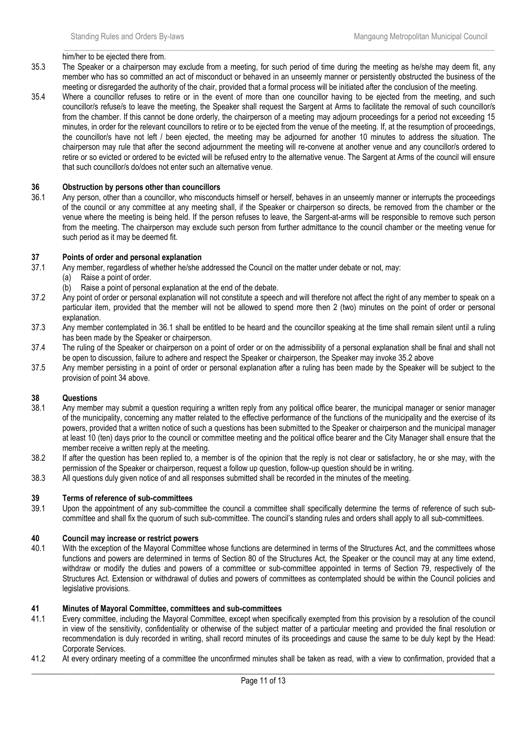#### $\_$  , and the set of the set of the set of the set of the set of the set of the set of the set of the set of the set of the set of the set of the set of the set of the set of the set of the set of the set of the set of th him/her to be ejected there from.

- 35.3 The Speaker or a chairperson may exclude from a meeting, for such period of time during the meeting as he/she may deem fit, any member who has so committed an act of misconduct or behaved in an unseemly manner or persistently obstructed the business of the meeting or disregarded the authority of the chair, provided that a formal process will be initiated after the conclusion of the meeting.
- 35.4 Where a councillor refuses to retire or in the event of more than one councillor having to be ejected from the meeting, and such councillor/s refuse/s to leave the meeting, the Speaker shall request the Sargent at Arms to facilitate the removal of such councillor/s from the chamber. If this cannot be done orderly, the chairperson of a meeting may adjourn proceedings for a period not exceeding 15 minutes, in order for the relevant councillors to retire or to be ejected from the venue of the meeting. If, at the resumption of proceedings, the councillor/s have not left / been ejected, the meeting may be adjourned for another 10 minutes to address the situation. The chairperson may rule that after the second adjournment the meeting will re-convene at another venue and any councillor/s ordered to retire or so evicted or ordered to be evicted will be refused entry to the alternative venue. The Sargent at Arms of the council will ensure that such councillor/s do/does not enter such an alternative venue.

#### **36 Obstruction by persons other than councillors**

36.1 Any person, other than a councillor, who misconducts himself or herself, behaves in an unseemly manner or interrupts the proceedings of the council or any committee at any meeting shall, if the Speaker or chairperson so directs, be removed from the chamber or the venue where the meeting is being held. If the person refuses to leave, the Sargent-at-arms will be responsible to remove such person from the meeting. The chairperson may exclude such person from further admittance to the council chamber or the meeting venue for such period as it may be deemed fit.

#### **37 Points of order and personal explanation**

- 37.1 Any member, regardless of whether he/she addressed the Council on the matter under debate or not, may:
	- (a) Raise a point of order.
	- (b) Raise a point of personal explanation at the end of the debate.
- 37.2 Any point of order or personal explanation will not constitute a speech and will therefore not affect the right of any member to speak on a particular item, provided that the member will not be allowed to spend more then 2 (two) minutes on the point of order or personal explanation.
- 37.3 Any member contemplated in 36.1 shall be entitled to be heard and the councillor speaking at the time shall remain silent until a ruling has been made by the Speaker or chairperson.
- 37.4 The ruling of the Speaker or chairperson on a point of order or on the admissibility of a personal explanation shall be final and shall not be open to discussion, failure to adhere and respect the Speaker or chairperson, the Speaker may invoke 35.2 above
- 37.5 Any member persisting in a point of order or personal explanation after a ruling has been made by the Speaker will be subject to the provision of point 34 above.

## **38 Questions**

- Any member may submit a question requiring a written reply from any political office bearer, the municipal manager or senior manager of the municipality, concerning any matter related to the effective performance of the functions of the municipality and the exercise of its powers, provided that a written notice of such a questions has been submitted to the Speaker or chairperson and the municipal manager at least 10 (ten) days prior to the council or committee meeting and the political office bearer and the City Manager shall ensure that the member receive a written reply at the meeting.
- 38.2 If after the question has been replied to, a member is of the opinion that the reply is not clear or satisfactory, he or she may, with the permission of the Speaker or chairperson, request a follow up question, follow-up question should be in writing.
- 38.3 All questions duly given notice of and all responses submitted shall be recorded in the minutes of the meeting.

## **39 Terms of reference of sub-committees**

39.1 Upon the appointment of any sub-committee the council a committee shall specifically determine the terms of reference of such subcommittee and shall fix the quorum of such sub-committee. The council's standing rules and orders shall apply to all sub-committees.

## **40 Council may increase or restrict powers**

40.1 With the exception of the Mayoral Committee whose functions are determined in terms of the Structures Act, and the committees whose functions and powers are determined in terms of Section 80 of the Structures Act, the Speaker or the council may at any time extend, withdraw or modify the duties and powers of a committee or sub-committee appointed in terms of Section 79, respectively of the Structures Act. Extension or withdrawal of duties and powers of committees as contemplated should be within the Council policies and legislative provisions.

#### **41 Minutes of Mayoral Committee, committees and sub-committees**

- 41.1 Every committee, including the Mayoral Committee, except when specifically exempted from this provision by a resolution of the council in view of the sensitivity, confidentiality or otherwise of the subject matter of a particular meeting and provided the final resolution or recommendation is duly recorded in writing, shall record minutes of its proceedings and cause the same to be duly kept by the Head: Corporate Services.
- 41.2 At every ordinary meeting of a committee the unconfirmed minutes shall be taken as read, with a view to confirmation, provided that a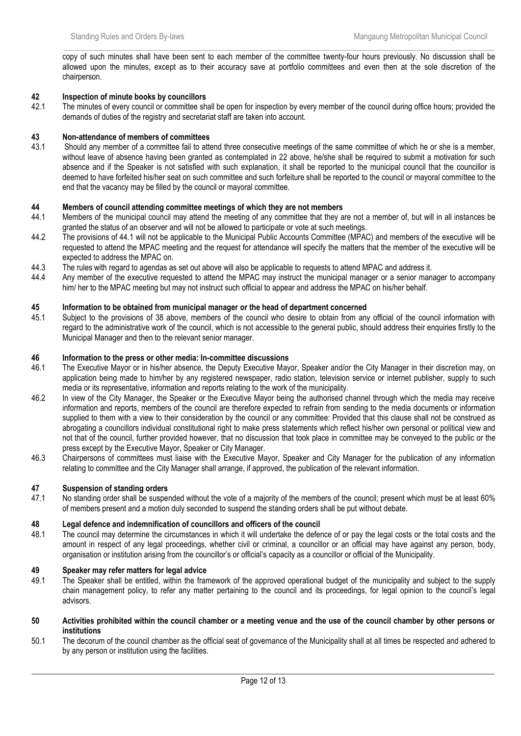$\_$  , and the set of the set of the set of the set of the set of the set of the set of the set of the set of the set of the set of the set of the set of the set of the set of the set of the set of the set of the set of th copy of such minutes shall have been sent to each member of the committee twenty-four hours previously. No discussion shall be allowed upon the minutes, except as to their accuracy save at portfolio committees and even then at the sole discretion of the chairperson.

## **42 Inspection of minute books by councillors**

42.1 The minutes of every council or committee shall be open for inspection by every member of the council during office hours; provided the demands of duties of the registry and secretariat staff are taken into account.

## **43 Non-attendance of members of committees**

43.1 Should any member of a committee fail to attend three consecutive meetings of the same committee of which he or she is a member, without leave of absence having been granted as contemplated in 22 above, he/she shall be required to submit a motivation for such absence and if the Speaker is not satisfied with such explanation, it shall be reported to the municipal council that the councillor is deemed to have forfeited his/her seat on such committee and such forfeiture shall be reported to the council or mayoral committee to the end that the vacancy may be filled by the council or mayoral committee.

## **44 Members of council attending committee meetings of which they are not members**<br>44.1 Members of the municipal council may attend the meeting of any committee that they a

- Members of the municipal council may attend the meeting of any committee that they are not a member of, but will in all instances be granted the status of an observer and will not be allowed to participate or vote at such meetings.
- 44.2 The provisions of 44.1 will not be applicable to the Municipal Public Accounts Committee (MPAC) and members of the executive will be requested to attend the MPAC meeting and the request for attendance will specify the matters that the member of the executive will be expected to address the MPAC on.
- 44.3 The rules with regard to agendas as set out above will also be applicable to requests to attend MPAC and address it.
- 44.4 Any member of the executive requested to attend the MPAC may instruct the municipal manager or a senior manager to accompany him/ her to the MPAC meeting but may not instruct such official to appear and address the MPAC on his/her behalf.

## **45 Information to be obtained from municipal manager or the head of department concerned**

45.1 Subject to the provisions of 38 above, members of the council who desire to obtain from any official of the council information with regard to the administrative work of the council, which is not accessible to the general public, should address their enquiries firstly to the Municipal Manager and then to the relevant senior manager.

## **46 Information to the press or other media: In-committee discussions**

- 46.1 The Executive Mayor or in his/her absence, the Deputy Executive Mayor, Speaker and/or the City Manager in their discretion may, on application being made to him/her by any registered newspaper, radio station, television service or internet publisher, supply to such media or its representative, information and reports relating to the work of the municipality.
- 46.2 In view of the City Manager, the Speaker or the Executive Mayor being the authorised channel through which the media may receive information and reports, members of the council are therefore expected to refrain from sending to the media documents or information supplied to them with a view to their consideration by the council or any committee: Provided that this clause shall not be construed as abrogating a councillors individual constitutional right to make press statements which reflect his/her own personal or political view and not that of the council, further provided however, that no discussion that took place in committee may be conveyed to the public or the press except by the Executive Mayor, Speaker or City Manager.
- 46.3 Chairpersons of committees must liaise with the Executive Mayor, Speaker and City Manager for the publication of any information relating to committee and the City Manager shall arrange, if approved, the publication of the relevant information.

## **47 Suspension of standing orders**

47.1 No standing order shall be suspended without the vote of a majority of the members of the council; present which must be at least 60% of members present and a motion duly seconded to suspend the standing orders shall be put without debate.

## **48 Legal defence and indemnification of councillors and officers of the council**

48.1 The council may determine the circumstances in which it will undertake the defence of or pay the legal costs or the total costs and the amount in respect of any legal proceedings, whether civil or criminal, a councillor or an official may have against any person, body, organisation or institution arising from the councillor's or official's capacity as a councillor or official of the Municipality.

## **49 Speaker may refer matters for legal advice**

The Speaker shall be entitled, within the framework of the approved operational budget of the municipality and subject to the supply chain management policy, to refer any matter pertaining to the council and its proceedings, for legal opinion to the council's legal advisors.

#### **50 Activities prohibited within the council chamber or a meeting venue and the use of the council chamber by other persons or institutions**

50.1 The decorum of the council chamber as the official seat of governance of the Municipality shall at all times be respected and adhered to by any person or institution using the facilities.